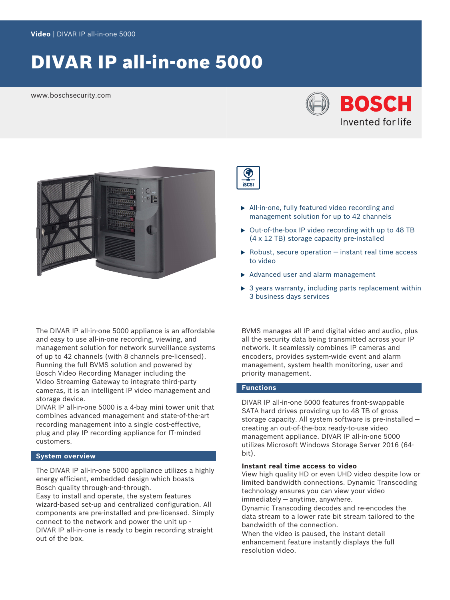# DIVAR IP all-in-one 5000

www.boschsecurity.com





The DIVAR IP all-in-one 5000 appliance is an affordable and easy to use all-in-one recording, viewing, and management solution for network surveillance systems of up to 42 channels (with 8 channels pre-licensed). Running the full BVMS solution and powered by Bosch Video Recording Manager including the Video Streaming Gateway to integrate third-party cameras, it is an intelligent IP video management and storage device.

DIVAR IP all-in-one 5000 is a 4-bay mini tower unit that combines advanced management and state-of-the-art recording management into a single cost-effective, plug and play IP recording appliance for IT-minded customers.

# **System overview**

The DIVAR IP all-in-one 5000 appliance utilizes a highly energy efficient, embedded design which boasts Bosch quality through-and-through.

Easy to install and operate, the system features wizard-based set-up and centralized configuration. All components are pre-installed and pre-licensed. Simply connect to the network and power the unit up - DIVAR IP all-in-one is ready to begin recording straight out of the box.



- $\blacktriangleright$  All-in-one, fully featured video recording and management solution for up to 42 channels
- $\triangleright$  Out-of-the-box IP video recording with up to 48 TB (4 x 12 TB) storage capacity pre-installed
- $\triangleright$  Robust, secure operation instant real time access to video
- $\triangleright$  Advanced user and alarm management
- $\triangleright$  3 years warranty, including parts replacement within 3 business days services

BVMS manages all IP and digital video and audio, plus all the security data being transmitted across your IP network. It seamlessly combines IP cameras and encoders, provides system-wide event and alarm management, system health monitoring, user and priority management.

# **Functions**

DIVAR IP all-in-one 5000 features front-swappable SATA hard drives providing up to 48 TB of gross storage capacity. All system software is pre-installed creating an out-of-the-box ready-to-use video management appliance. DIVAR IP all-in-one 5000 utilizes Microsoft Windows Storage Server 2016 (64 bit).

# **Instant real time access to video**

View high quality HD or even UHD video despite low or limited bandwidth connections. Dynamic Transcoding technology ensures you can view your video immediately — anytime, anywhere.

Dynamic Transcoding decodes and re-encodes the data stream to a lower rate bit stream tailored to the bandwidth of the connection.

When the video is paused, the instant detail enhancement feature instantly displays the full resolution video.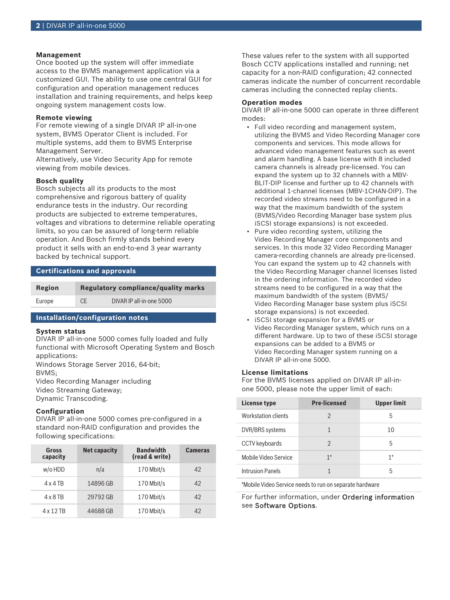## **Management**

Once booted up the system will offer immediate access to the BVMS management application via a customized GUI. The ability to use one central GUI for configuration and operation management reduces installation and training requirements, and helps keep ongoing system management costs low.

# **Remote viewing**

For remote viewing of a single DIVAR IP all-in-one system, BVMS Operator Client is included. For multiple systems, add them to BVMS Enterprise Management Server.

Alternatively, use Video Security App for remote viewing from mobile devices.

# **Bosch quality**

Bosch subjects all its products to the most comprehensive and rigorous battery of quality endurance tests in the industry. Our recording products are subjected to extreme temperatures, voltages and vibrations to determine reliable operating limits, so you can be assured of long-term reliable operation. And Bosch firmly stands behind every product it sells with an end-to-end 3 year warranty backed by technical support.

# **Certifications and approvals**

| Region | Regulatory compliance/quality marks |                          |
|--------|-------------------------------------|--------------------------|
| Europe | CE                                  | DIVAR IP all-in-one 5000 |

# **Installation/configuration notes**

#### **System status**

DIVAR IP all-in-one 5000 comes fully loaded and fully functional with Microsoft Operating System and Bosch applications:

Windows Storage Server 2016, 64-bit; BVMS; Video Recording Manager including Video Streaming Gateway; Dynamic Transcoding.

#### **Configuration**

DIVAR IP all-in-one 5000 comes pre-configured in a standard non-RAID configuration and provides the following specifications:

| Gross<br>capacity | <b>Net capacity</b> | <b>Bandwidth</b><br>(read & write) | <b>Cameras</b> |
|-------------------|---------------------|------------------------------------|----------------|
| w/o HDD           | n/a                 | 170 Mbit/s                         | 42             |
| $4 \times 4$ TB   | 14896 GB            | 170 Mbit/s                         | 42             |
| $4 \times 8$ TB   | 29792 GB            | 170 Mbit/s                         | 42             |
| 4 x 1 2 TR        | 44688 GB            | 170 Mbit/s                         | 42             |

These values refer to the system with all supported Bosch CCTV applications installed and running; net capacity for a non-RAID configuration; 42 connected cameras indicate the number of concurrent recordable cameras including the connected replay clients.

# **Operation modes**

DIVAR IP all-in-one 5000 can operate in three different modes:

- Full video recording and management system, utilizing the BVMS and Video Recording Manager core components and services. This mode allows for advanced video management features such as event and alarm handling. A base license with 8 included camera channels is already pre-licensed. You can expand the system up to 32 channels with a MBV-BLIT-DIP license and further up to 42 channels with additional 1-channel licenses (MBV-1CHAN-DIP). The recorded video streams need to be configured in a way that the maximum bandwidth of the system (BVMS/Video Recording Manager base system plus iSCSI storage expansions) is not exceeded.
- Pure video recording system, utilizing the Video Recording Manager core components and services. In this mode 32 Video Recording Manager camera-recording channels are already pre-licensed. You can expand the system up to 42 channels with the Video Recording Manager channel licenses listed in the ordering information. The recorded video streams need to be configured in a way that the maximum bandwidth of the system (BVMS/ Video Recording Manager base system plus iSCSI storage expansions) is not exceeded.
- iSCSI storage expansion for a BVMS or Video Recording Manager system, which runs on a different hardware. Up to two of these iSCSI storage expansions can be added to a BVMS or Video Recording Manager system running on a DIVAR IP all-in-one 5000.

# **License limitations**

For the BVMS licenses applied on DIVAR IP all-inone 5000, please note the upper limit of each:

| <b>License type</b>     | <b>Pre-licensed</b> | Upper limit |
|-------------------------|---------------------|-------------|
| Workstation clients     | $\mathfrak{D}$      | 5           |
| DVR/BRS systems         |                     | 10          |
| CCTV keyboards          | $\mathfrak{D}$      | 5           |
| Mobile Video Service    | $1*$                | $1*$        |
| <b>Intrusion Panels</b> |                     | 5           |

\*Mobile Video Service needs to run on separate hardware

For further information, under Ordering information see Software Options.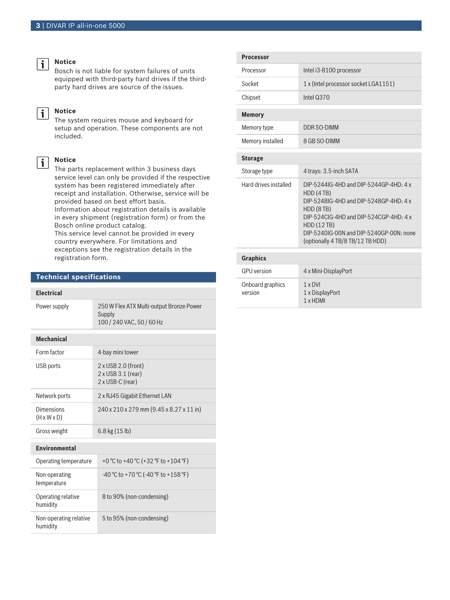#### **Notice**

 $\mathbf{i}$ 

j.

 $\mathbf{i}$ 

Bosch is not liable for system failures of units equipped with third-party hard drives if the thirdparty hard drives are source of the issues.

# **Notice**

The system requires mouse and keyboard for setup and operation. These components are not included.

# **Notice**

The parts replacement within 3 business days service level can only be provided if the respective system has been registered immediately after receipt and installation. Otherwise, service will be provided based on best effort basis.

Information about registration details is available in every shipment (registration form) or from the Bosch online product catalog.

This service level cannot be provided in every country everywhere. For limitations and exceptions see the registration details in the registration form.

# **Technical specifications**

# **Electrical**

| Power supply                          | 250 W Flex ATX Multi-output Bronze Power<br>Supply<br>100 / 240 VAC, 50 / 60 Hz |  |
|---------------------------------------|---------------------------------------------------------------------------------|--|
| <b>Mechanical</b>                     |                                                                                 |  |
| Form factor                           | 4-bay mini tower                                                                |  |
| USB ports                             | 2 x USB 2.0 (front)<br>2 x USB 3.1 (rear)<br>2 x USB-C (rear)                   |  |
| Network ports                         | 2 x RJ45 Gigabit Ethernet LAN                                                   |  |
| Dimensions<br>$(H \times W \times D)$ | 240 x 210 x 279 mm (9.45 x 8.27 x 11 in)                                        |  |
| Gross weight                          | $6.8$ kg $(15 \text{ lb})$                                                      |  |
| <b>Fnvironmental</b>                  |                                                                                 |  |
| Operating temperature                 | +0 °C to +40 °C (+32 °F to +104 °F)                                             |  |
| Non-operating<br>temperature          | $-40$ °C to +70 °C (-40 °F to +158 °F)                                          |  |
| Operating relative<br>humidity        | 8 to 90% (non-condensing)                                                       |  |
| Non-operating relative<br>humidity    | 5 to 95% (non-condensing)                                                       |  |

| <b>Processor</b>      |                                                                                                                                                                                                                                                             |  |
|-----------------------|-------------------------------------------------------------------------------------------------------------------------------------------------------------------------------------------------------------------------------------------------------------|--|
| Processor             | Intel i3-8100 processor                                                                                                                                                                                                                                     |  |
| Socket                | 1 x (Intel processor socket LGA1151)                                                                                                                                                                                                                        |  |
| Chipset               | Intel Q370                                                                                                                                                                                                                                                  |  |
| <b>Memory</b>         |                                                                                                                                                                                                                                                             |  |
| Memory type           | DDR SO-DIMM                                                                                                                                                                                                                                                 |  |
| Memory installed      | 8 GB SO-DIMM                                                                                                                                                                                                                                                |  |
| <b>Storage</b>        |                                                                                                                                                                                                                                                             |  |
| Storage type          | 4 trays: 3.5-inch SATA                                                                                                                                                                                                                                      |  |
| Hard drives installed | $DIP-5244IG-4HD$ and $DIP-5244GP-4HD-4x$<br>HDD(4TB)<br>DIP-5248IG-4HD and DIP-5248GP-4HD: 4 x<br>HDD (8 TB)<br>DIP-524CIG-4HD and DIP-524CGP-4HD: 4 x<br><b>HDD (12 TB)</b><br>DIP-5240IG-00N and DIP-5240GP-00N: none<br>(optionally 4 TB/8 TB/12 TB HDD) |  |
| <b>Graphics</b>       |                                                                                                                                                                                                                                                             |  |

| <b>GPU</b> version          | 4 x Mini-DisplayPort                                 |
|-----------------------------|------------------------------------------------------|
| Onboard graphics<br>version | $1 \times DVI$<br>1 x DisplayPort<br>$1 \times$ HDMI |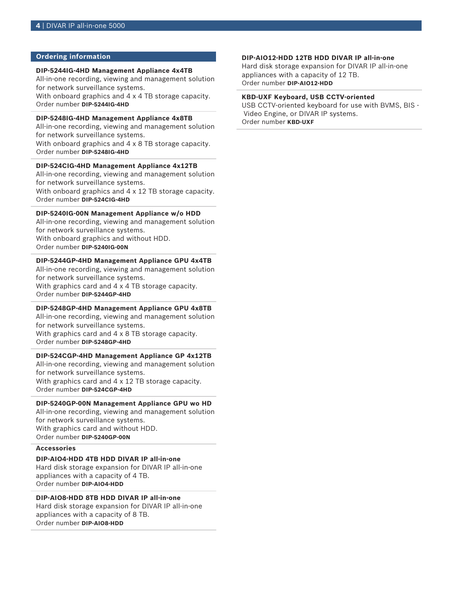# **Ordering information**

#### **DIP-5244IG-4HD Management Appliance 4x4TB**

All-in-one recording, viewing and management solution for network surveillance systems.

With onboard graphics and 4 x 4 TB storage capacity. Order number **DIP-5244IG-4HD**

# **DIP-5248IG-4HD Management Appliance 4x8TB**

All-in-one recording, viewing and management solution for network surveillance systems. With onboard graphics and 4 x 8 TB storage capacity.

Order number **DIP-5248IG-4HD**

# **DIP-524CIG-4HD Management Appliance 4x12TB**

All-in-one recording, viewing and management solution for network surveillance systems.

With onboard graphics and 4 x 12 TB storage capacity. Order number **DIP-524CIG-4HD**

# **DIP-5240IG-00N Management Appliance w/o HDD**

All-in-one recording, viewing and management solution for network surveillance systems. With onboard graphics and without HDD.

Order number **DIP-5240IG-00N**

### **DIP-5244GP-4HD Management Appliance GPU 4x4TB**

All-in-one recording, viewing and management solution for network surveillance systems. With graphics card and 4 x 4 TB storage capacity. Order number **DIP-5244GP-4HD**

#### **DIP-5248GP-4HD Management Appliance GPU 4x8TB**

All-in-one recording, viewing and management solution for network surveillance systems.

With graphics card and 4 x 8 TB storage capacity. Order number **DIP-5248GP-4HD**

#### **DIP-524CGP-4HD Management Appliance GP 4x12TB**

All-in-one recording, viewing and management solution for network surveillance systems. With graphics card and 4 x 12 TB storage capacity.

Order number **DIP-524CGP-4HD**

# **DIP-5240GP-00N Management Appliance GPU wo HD**

All-in-one recording, viewing and management solution for network surveillance systems. With graphics card and without HDD. Order number **DIP-5240GP-00N**

# **Accessories**

# **DIP-AIO4-HDD 4TB HDD DIVAR IP all-in-one**

Hard disk storage expansion for DIVAR IP all-in-one appliances with a capacity of 4 TB. Order number **DIP-AIO4-HDD**

#### **DIP-AIO8-HDD 8TB HDD DIVAR IP all-in-one**

Hard disk storage expansion for DIVAR IP all-in-one appliances with a capacity of 8 TB. Order number **DIP-AIO8-HDD**

#### **DIP-AIO12-HDD 12TB HDD DIVAR IP all-in-one**

Hard disk storage expansion for DIVAR IP all-in-one appliances with a capacity of 12 TB. Order number **DIP-AIO12-HDD**

# **KBD-UXF Keyboard, USB CCTV-oriented**

USB CCTV-oriented keyboard for use with BVMS, BIS - Video Engine, or DIVAR IP systems. Order number **KBD-UXF**